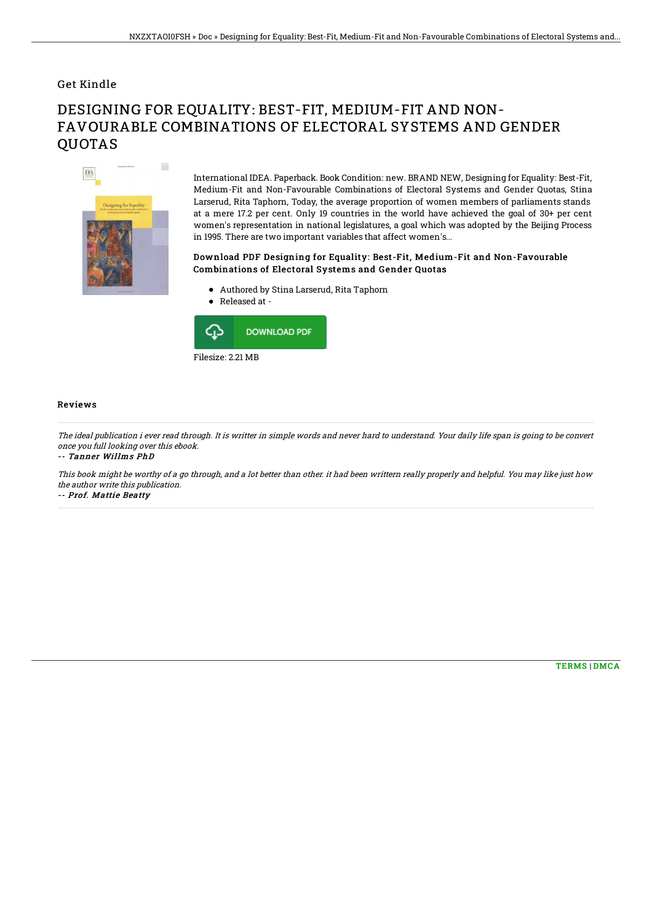### Get Kindle

# DESIGNING FOR EQUALITY: BEST-FIT, MEDIUM-FIT AND NON-FAVOURABLE COMBINATIONS OF ELECTORAL SYSTEMS AND GENDER **OUOTAS**



International IDEA. Paperback. Book Condition: new. BRAND NEW, Designing for Equality: Best-Fit, Medium-Fit and Non-Favourable Combinations of Electoral Systems and Gender Quotas, Stina Larserud, Rita Taphorn, Today, the average proportion of women members of parliaments stands at a mere 17.2 per cent. Only 19 countries in the world have achieved the goal of 30+ per cent women's representation in national legislatures, a goal which was adopted by the Beijing Process in 1995. There are two important variables that affect women's...

#### Download PDF Designing for Equality: Best-Fit, Medium-Fit and Non-Favourable Combinations of Electoral Systems and Gender Quotas

- Authored by Stina Larserud, Rita Taphorn
- $\bullet$  Released at -



#### Reviews

The ideal publication i ever read through. It is writter in simple words and never hard to understand. Your daily life span is going to be convert once you full looking over this ebook.

-- Tanner Willms PhD

This book might be worthy of <sup>a</sup> go through, and <sup>a</sup> lot better than other. it had been writtern really properly and helpful. You may like just how the author write this publication.

-- Prof. Mattie Beatty